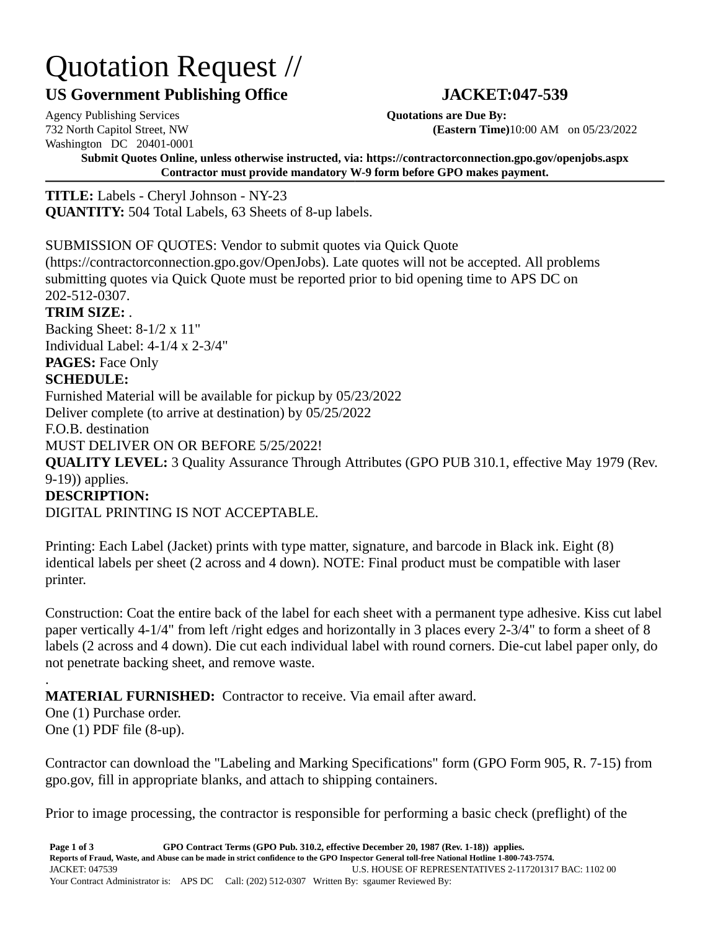# Quotation Request //

## **US Government Publishing Office JACKET:047-539**

Agency Publishing Services **Quotations are Due By:** Washington DC 20401-0001

732 North Capitol Street, NW **(Eastern Time)**10:00 AM on 05/23/2022

**Submit Quotes Online, unless otherwise instructed, via: https://contractorconnection.gpo.gov/openjobs.aspx Contractor must provide mandatory W-9 form before GPO makes payment.**

**TITLE:** Labels - Cheryl Johnson - NY-23 **QUANTITY:** 504 Total Labels, 63 Sheets of 8-up labels.

#### SUBMISSION OF QUOTES: Vendor to submit quotes via Quick Quote

(https://contractorconnection.gpo.gov/OpenJobs). Late quotes will not be accepted. All problems submitting quotes via Quick Quote must be reported prior to bid opening time to APS DC on 202-512-0307.

#### **TRIM SIZE:** .

Backing Sheet: 8-1/2 x 11" Individual Label: 4-1/4 x 2-3/4" **PAGES:** Face Only

### **SCHEDULE:**

Furnished Material will be available for pickup by 05/23/2022

Deliver complete (to arrive at destination) by 05/25/2022

F.O.B. destination

MUST DELIVER ON OR BEFORE 5/25/2022!

**QUALITY LEVEL:** 3 Quality Assurance Through Attributes (GPO PUB 310.1, effective May 1979 (Rev. 9-19)) applies.

#### **DESCRIPTION:**

DIGITAL PRINTING IS NOT ACCEPTABLE.

Printing: Each Label (Jacket) prints with type matter, signature, and barcode in Black ink. Eight (8) identical labels per sheet (2 across and 4 down). NOTE: Final product must be compatible with laser printer.

Construction: Coat the entire back of the label for each sheet with a permanent type adhesive. Kiss cut label paper vertically 4-1/4" from left /right edges and horizontally in 3 places every 2-3/4" to form a sheet of 8 labels (2 across and 4 down). Die cut each individual label with round corners. Die-cut label paper only, do not penetrate backing sheet, and remove waste.

#### . **MATERIAL FURNISHED:** Contractor to receive. Via email after award.

One (1) Purchase order. One (1) PDF file (8-up).

Contractor can download the "Labeling and Marking Specifications" form (GPO Form 905, R. 7-15) from gpo.gov, fill in appropriate blanks, and attach to shipping containers.

Prior to image processing, the contractor is responsible for performing a basic check (preflight) of the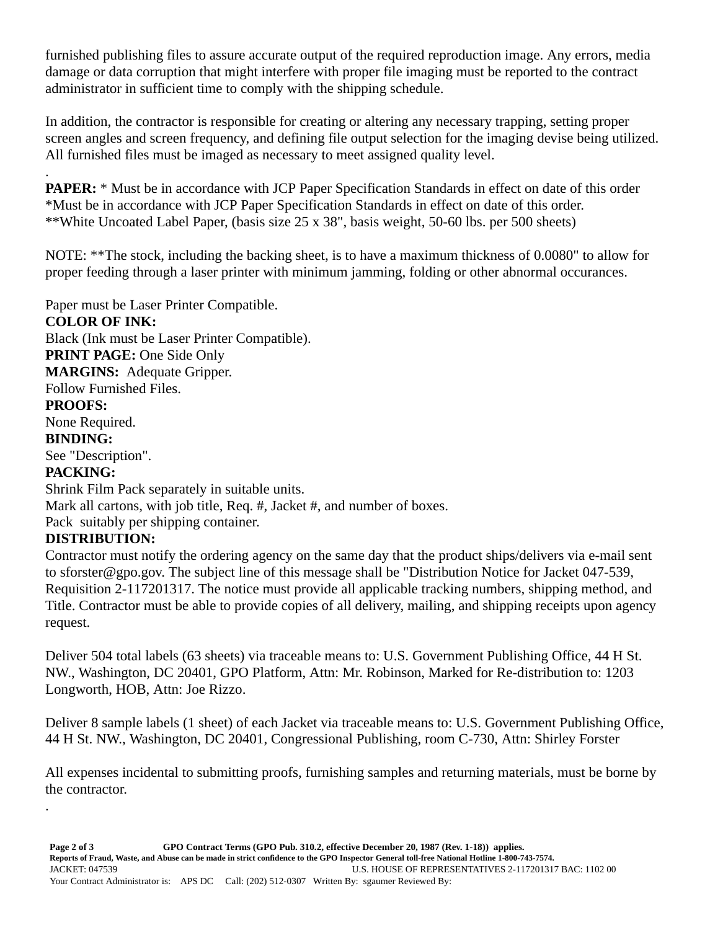furnished publishing files to assure accurate output of the required reproduction image. Any errors, media damage or data corruption that might interfere with proper file imaging must be reported to the contract administrator in sufficient time to comply with the shipping schedule.

In addition, the contractor is responsible for creating or altering any necessary trapping, setting proper screen angles and screen frequency, and defining file output selection for the imaging devise being utilized. All furnished files must be imaged as necessary to meet assigned quality level.

. **PAPER:** \* Must be in accordance with JCP Paper Specification Standards in effect on date of this order \*Must be in accordance with JCP Paper Specification Standards in effect on date of this order. \*\*White Uncoated Label Paper, (basis size 25 x 38", basis weight, 50-60 lbs. per 500 sheets)

NOTE: \*\*The stock, including the backing sheet, is to have a maximum thickness of 0.0080" to allow for proper feeding through a laser printer with minimum jamming, folding or other abnormal occurances.

Paper must be Laser Printer Compatible. **COLOR OF INK:** Black (Ink must be Laser Printer Compatible). **PRINT PAGE:** One Side Only **MARGINS:** Adequate Gripper. Follow Furnished Files. **PROOFS:** None Required. **BINDING:** See "Description". **PACKING:** Shrink Film Pack separately in suitable units. Mark all cartons, with job title, Req. #, Jacket #, and number of boxes. Pack suitably per shipping container.

### **DISTRIBUTION:**

.

Contractor must notify the ordering agency on the same day that the product ships/delivers via e-mail sent to sforster@gpo.gov. The subject line of this message shall be "Distribution Notice for Jacket 047-539, Requisition 2-117201317. The notice must provide all applicable tracking numbers, shipping method, and Title. Contractor must be able to provide copies of all delivery, mailing, and shipping receipts upon agency request.

Deliver 504 total labels (63 sheets) via traceable means to: U.S. Government Publishing Office, 44 H St. NW., Washington, DC 20401, GPO Platform, Attn: Mr. Robinson, Marked for Re-distribution to: 1203 Longworth, HOB, Attn: Joe Rizzo.

Deliver 8 sample labels (1 sheet) of each Jacket via traceable means to: U.S. Government Publishing Office, 44 H St. NW., Washington, DC 20401, Congressional Publishing, room C-730, Attn: Shirley Forster

All expenses incidental to submitting proofs, furnishing samples and returning materials, must be borne by the contractor.